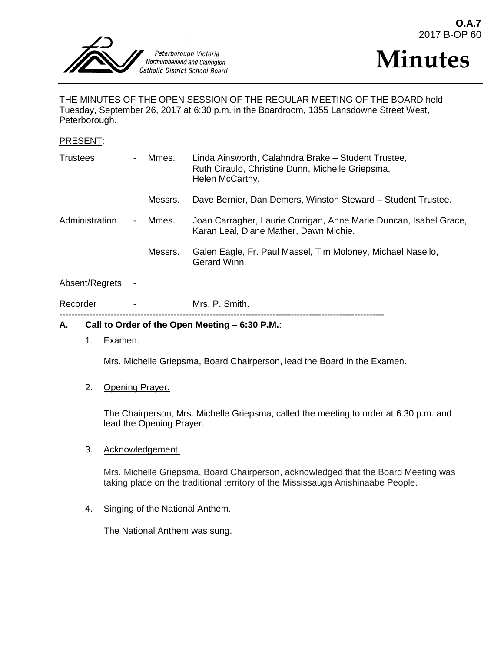



THE MINUTES OF THE OPEN SESSION OF THE REGULAR MEETING OF THE BOARD held Tuesday, September 26, 2017 at 6:30 p.m. in the Boardroom, 1355 Lansdowne Street West, Peterborough.

#### PRESENT:

| <b>Trustees</b> | $\overline{\phantom{0}}$ | Mmes.   | Linda Ainsworth, Calahndra Brake - Student Trustee,<br>Ruth Ciraulo, Christine Dunn, Michelle Griepsma,<br>Helen McCarthy. |
|-----------------|--------------------------|---------|----------------------------------------------------------------------------------------------------------------------------|
|                 |                          | Messrs. | Dave Bernier, Dan Demers, Winston Steward - Student Trustee.                                                               |
| Administration  | $\blacksquare$           | Mmes.   | Joan Carragher, Laurie Corrigan, Anne Marie Duncan, Isabel Grace,<br>Karan Leal, Diane Mather, Dawn Michie.                |
|                 |                          | Messrs. | Galen Eagle, Fr. Paul Massel, Tim Moloney, Michael Nasello,<br>Gerard Winn.                                                |
| Absent/Regrets  |                          |         |                                                                                                                            |

#### Recorder - Mrs. P. Smith. ------------------------------------------------------------------------------------------------------------

## **A. Call to Order of the Open Meeting – 6:30 P.M.**:

1. Examen.

Mrs. Michelle Griepsma, Board Chairperson, lead the Board in the Examen.

#### 2. Opening Prayer.

The Chairperson, Mrs. Michelle Griepsma, called the meeting to order at 6:30 p.m. and lead the Opening Prayer.

#### 3. Acknowledgement.

Mrs. Michelle Griepsma, Board Chairperson, acknowledged that the Board Meeting was taking place on the traditional territory of the Mississauga Anishinaabe People.

#### 4. Singing of the National Anthem.

The National Anthem was sung.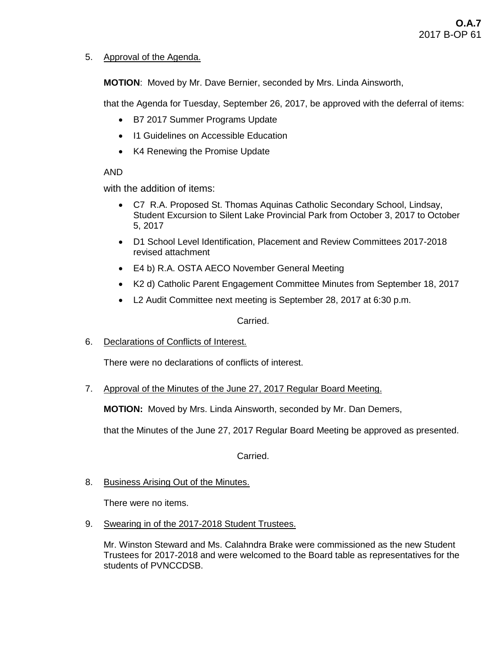# 5. Approval of the Agenda.

**MOTION**: Moved by Mr. Dave Bernier, seconded by Mrs. Linda Ainsworth,

that the Agenda for Tuesday, September 26, 2017, be approved with the deferral of items:

- B7 2017 Summer Programs Update
- I1 Guidelines on Accessible Education
- K4 Renewing the Promise Update

# AND

with the addition of items:

- C7 R.A. Proposed St. Thomas Aquinas Catholic Secondary School, Lindsay, Student Excursion to Silent Lake Provincial Park from October 3, 2017 to October 5, 2017
- D1 School Level Identification, Placement and Review Committees 2017-2018 revised attachment
- E4 b) R.A. OSTA AECO November General Meeting
- K2 d) Catholic Parent Engagement Committee Minutes from September 18, 2017
- L2 Audit Committee next meeting is September 28, 2017 at 6:30 p.m.

## Carried.

6. Declarations of Conflicts of Interest.

There were no declarations of conflicts of interest.

7. Approval of the Minutes of the June 27, 2017 Regular Board Meeting.

**MOTION:** Moved by Mrs. Linda Ainsworth, seconded by Mr. Dan Demers,

that the Minutes of the June 27, 2017 Regular Board Meeting be approved as presented.

Carried.

8. Business Arising Out of the Minutes.

There were no items.

9. Swearing in of the 2017-2018 Student Trustees.

Mr. Winston Steward and Ms. Calahndra Brake were commissioned as the new Student Trustees for 2017-2018 and were welcomed to the Board table as representatives for the students of PVNCCDSB.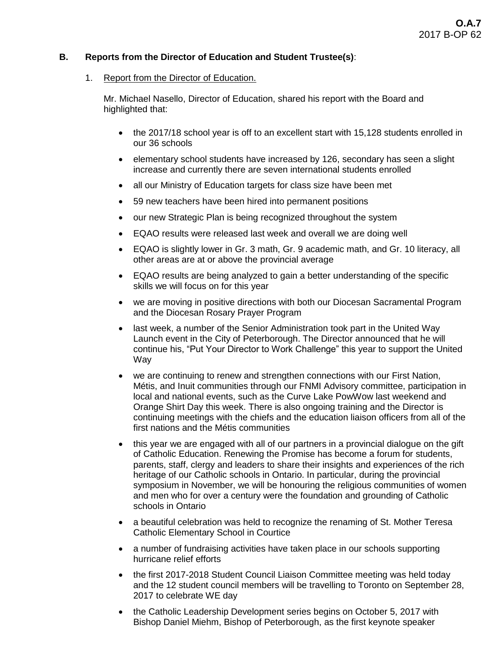# **B. Reports from the Director of Education and Student Trustee(s)**:

## 1. Report from the Director of Education.

Mr. Michael Nasello, Director of Education, shared his report with the Board and highlighted that:

- the 2017/18 school year is off to an excellent start with 15,128 students enrolled in our 36 schools
- elementary school students have increased by 126, secondary has seen a slight increase and currently there are seven international students enrolled
- all our Ministry of Education targets for class size have been met
- 59 new teachers have been hired into permanent positions
- our new Strategic Plan is being recognized throughout the system
- EQAO results were released last week and overall we are doing well
- EQAO is slightly lower in Gr. 3 math, Gr. 9 academic math, and Gr. 10 literacy, all other areas are at or above the provincial average
- EQAO results are being analyzed to gain a better understanding of the specific skills we will focus on for this year
- we are moving in positive directions with both our Diocesan Sacramental Program and the Diocesan Rosary Prayer Program
- last week, a number of the Senior Administration took part in the United Way Launch event in the City of Peterborough. The Director announced that he will continue his, "Put Your Director to Work Challenge" this year to support the United Way
- we are continuing to renew and strengthen connections with our First Nation, Métis, and Inuit communities through our FNMI Advisory committee, participation in local and national events, such as the Curve Lake PowWow last weekend and Orange Shirt Day this week. There is also ongoing training and the Director is continuing meetings with the chiefs and the education liaison officers from all of the first nations and the Métis communities
- this year we are engaged with all of our partners in a provincial dialogue on the gift of Catholic Education. Renewing the Promise has become a forum for students, parents, staff, clergy and leaders to share their insights and experiences of the rich heritage of our Catholic schools in Ontario. In particular, during the provincial symposium in November, we will be honouring the religious communities of women and men who for over a century were the foundation and grounding of Catholic schools in Ontario
- a beautiful celebration was held to recognize the renaming of St. Mother Teresa Catholic Elementary School in Courtice
- a number of fundraising activities have taken place in our schools supporting hurricane relief efforts
- the first 2017-2018 Student Council Liaison Committee meeting was held today and the 12 student council members will be travelling to Toronto on September 28, 2017 to celebrate WE day
- the Catholic Leadership Development series begins on October 5, 2017 with Bishop Daniel Miehm, Bishop of Peterborough, as the first keynote speaker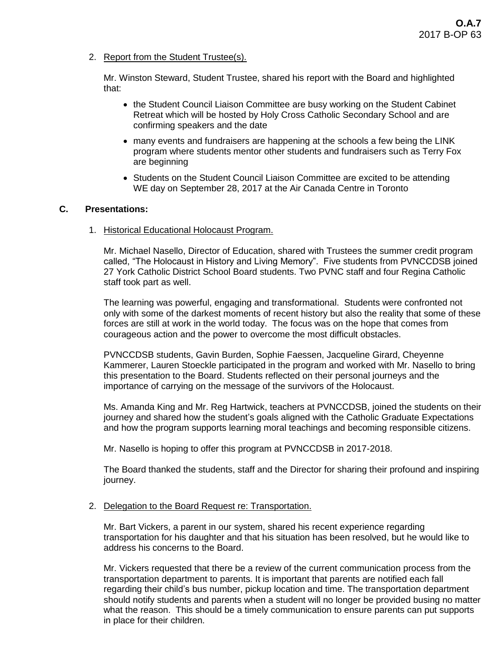2. Report from the Student Trustee(s).

Mr. Winston Steward, Student Trustee, shared his report with the Board and highlighted that:

- the Student Council Liaison Committee are busy working on the Student Cabinet Retreat which will be hosted by Holy Cross Catholic Secondary School and are confirming speakers and the date
- many events and fundraisers are happening at the schools a few being the LINK program where students mentor other students and fundraisers such as Terry Fox are beginning
- Students on the Student Council Liaison Committee are excited to be attending WE day on September 28, 2017 at the Air Canada Centre in Toronto

## **C. Presentations:**

1. Historical Educational Holocaust Program.

Mr. Michael Nasello, Director of Education, shared with Trustees the summer credit program called, "The Holocaust in History and Living Memory". Five students from PVNCCDSB joined 27 York Catholic District School Board students. Two PVNC staff and four Regina Catholic staff took part as well.

The learning was powerful, engaging and transformational. Students were confronted not only with some of the darkest moments of recent history but also the reality that some of these forces are still at work in the world today. The focus was on the hope that comes from courageous action and the power to overcome the most difficult obstacles.

PVNCCDSB students, Gavin Burden, Sophie Faessen, Jacqueline Girard, Cheyenne Kammerer, Lauren Stoeckle participated in the program and worked with Mr. Nasello to bring this presentation to the Board. Students reflected on their personal journeys and the importance of carrying on the message of the survivors of the Holocaust.

Ms. Amanda King and Mr. Reg Hartwick, teachers at PVNCCDSB, joined the students on their journey and shared how the student's goals aligned with the Catholic Graduate Expectations and how the program supports learning moral teachings and becoming responsible citizens.

Mr. Nasello is hoping to offer this program at PVNCCDSB in 2017-2018.

The Board thanked the students, staff and the Director for sharing their profound and inspiring journey.

## 2. Delegation to the Board Request re: Transportation.

Mr. Bart Vickers, a parent in our system, shared his recent experience regarding transportation for his daughter and that his situation has been resolved, but he would like to address his concerns to the Board.

Mr. Vickers requested that there be a review of the current communication process from the transportation department to parents. It is important that parents are notified each fall regarding their child's bus number, pickup location and time. The transportation department should notify students and parents when a student will no longer be provided busing no matter what the reason. This should be a timely communication to ensure parents can put supports in place for their children.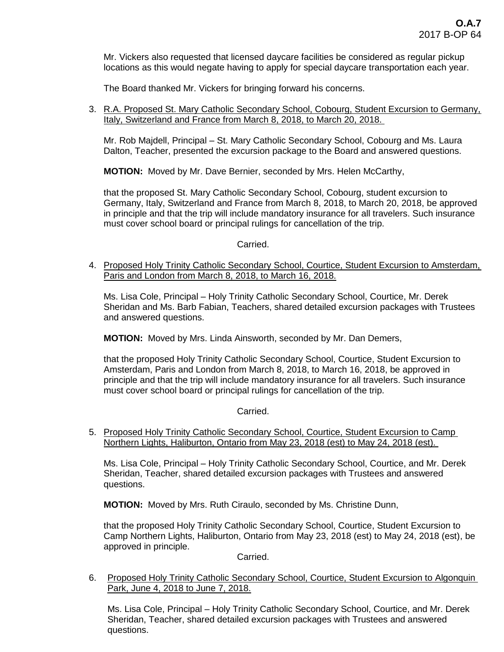Mr. Vickers also requested that licensed daycare facilities be considered as regular pickup locations as this would negate having to apply for special daycare transportation each year.

The Board thanked Mr. Vickers for bringing forward his concerns.

3. R.A. Proposed St. Mary Catholic Secondary School, Cobourg, Student Excursion to Germany, Italy, Switzerland and France from March 8, 2018, to March 20, 2018.

Mr. Rob Majdell, Principal – St. Mary Catholic Secondary School, Cobourg and Ms. Laura Dalton, Teacher, presented the excursion package to the Board and answered questions.

**MOTION:** Moved by Mr. Dave Bernier, seconded by Mrs. Helen McCarthy,

that the proposed St. Mary Catholic Secondary School, Cobourg, student excursion to Germany, Italy, Switzerland and France from March 8, 2018, to March 20, 2018, be approved in principle and that the trip will include mandatory insurance for all travelers. Such insurance must cover school board or principal rulings for cancellation of the trip.

## Carried.

4. Proposed Holy Trinity Catholic Secondary School, Courtice, Student Excursion to Amsterdam, Paris and London from March 8, 2018, to March 16, 2018.

Ms. Lisa Cole, Principal – Holy Trinity Catholic Secondary School, Courtice, Mr. Derek Sheridan and Ms. Barb Fabian, Teachers, shared detailed excursion packages with Trustees and answered questions.

**MOTION:** Moved by Mrs. Linda Ainsworth, seconded by Mr. Dan Demers,

that the proposed Holy Trinity Catholic Secondary School, Courtice, Student Excursion to Amsterdam, Paris and London from March 8, 2018, to March 16, 2018, be approved in principle and that the trip will include mandatory insurance for all travelers. Such insurance must cover school board or principal rulings for cancellation of the trip.

Carried.

5. Proposed Holy Trinity Catholic Secondary School, Courtice, Student Excursion to Camp Northern Lights, Haliburton, Ontario from May 23, 2018 (est) to May 24, 2018 (est).

Ms. Lisa Cole, Principal – Holy Trinity Catholic Secondary School, Courtice, and Mr. Derek Sheridan, Teacher, shared detailed excursion packages with Trustees and answered questions.

**MOTION:** Moved by Mrs. Ruth Ciraulo, seconded by Ms. Christine Dunn,

that the proposed Holy Trinity Catholic Secondary School, Courtice, Student Excursion to Camp Northern Lights, Haliburton, Ontario from May 23, 2018 (est) to May 24, 2018 (est), be approved in principle.

Carried.

6. Proposed Holy Trinity Catholic Secondary School, Courtice, Student Excursion to Algonquin Park, June 4, 2018 to June 7, 2018.

Ms. Lisa Cole, Principal – Holy Trinity Catholic Secondary School, Courtice, and Mr. Derek Sheridan, Teacher, shared detailed excursion packages with Trustees and answered questions.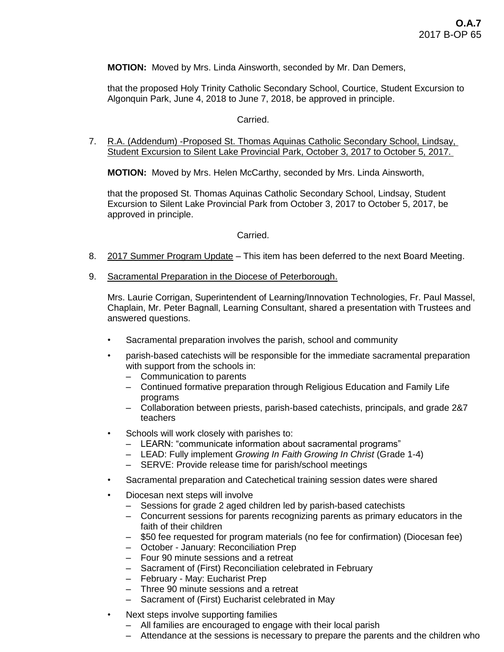## **MOTION:** Moved by Mrs. Linda Ainsworth, seconded by Mr. Dan Demers,

that the proposed Holy Trinity Catholic Secondary School, Courtice, Student Excursion to Algonquin Park, June 4, 2018 to June 7, 2018, be approved in principle.

## Carried.

7. R.A. (Addendum) -Proposed St. Thomas Aquinas Catholic Secondary School, Lindsay, Student Excursion to Silent Lake Provincial Park, October 3, 2017 to October 5, 2017.

**MOTION:** Moved by Mrs. Helen McCarthy, seconded by Mrs. Linda Ainsworth,

that the proposed St. Thomas Aquinas Catholic Secondary School, Lindsay, Student Excursion to Silent Lake Provincial Park from October 3, 2017 to October 5, 2017, be approved in principle.

#### Carried.

- 8. 2017 Summer Program Update This item has been deferred to the next Board Meeting.
- 9. Sacramental Preparation in the Diocese of Peterborough.

Mrs. Laurie Corrigan, Superintendent of Learning/Innovation Technologies, Fr. Paul Massel, Chaplain, Mr. Peter Bagnall, Learning Consultant, shared a presentation with Trustees and answered questions.

- Sacramental preparation involves the parish, school and community
- parish-based catechists will be responsible for the immediate sacramental preparation with support from the schools in:
	- Communication to parents
	- Continued formative preparation through Religious Education and Family Life programs
	- Collaboration between priests, parish-based catechists, principals, and grade 2&7 teachers
- Schools will work closely with parishes to:
	- LEARN: "communicate information about sacramental programs"
	- LEAD: Fully implement *Growing In Faith Growing In Christ* (Grade 1-4)
	- SERVE: Provide release time for parish/school meetings
- Sacramental preparation and Catechetical training session dates were shared
- Diocesan next steps will involve
	- Sessions for grade 2 aged children led by parish-based catechists
	- Concurrent sessions for parents recognizing parents as primary educators in the faith of their children
	- \$50 fee requested for program materials (no fee for confirmation) (Diocesan fee)
	- October January: Reconciliation Prep
	- Four 90 minute sessions and a retreat
	- Sacrament of (First) Reconciliation celebrated in February
	- February May: Eucharist Prep
	- Three 90 minute sessions and a retreat
	- Sacrament of (First) Eucharist celebrated in May
- Next steps involve supporting families
	- All families are encouraged to engage with their local parish
	- Attendance at the sessions is necessary to prepare the parents and the children who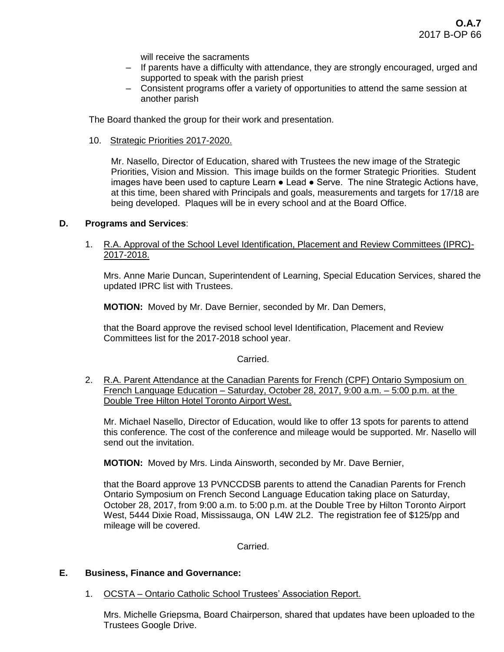will receive the sacraments

- If parents have a difficulty with attendance, they are strongly encouraged, urged and supported to speak with the parish priest
- Consistent programs offer a variety of opportunities to attend the same session at another parish

The Board thanked the group for their work and presentation.

10. Strategic Priorities 2017-2020.

Mr. Nasello, Director of Education, shared with Trustees the new image of the Strategic Priorities, Vision and Mission. This image builds on the former Strategic Priorities. Student images have been used to capture Learn ● Lead ● Serve. The nine Strategic Actions have, at this time, been shared with Principals and goals, measurements and targets for 17/18 are being developed. Plaques will be in every school and at the Board Office.

## **D. Programs and Services**:

1. R.A. Approval of the School Level Identification, Placement and Review Committees (IPRC)- 2017-2018.

Mrs. Anne Marie Duncan, Superintendent of Learning, Special Education Services, shared the updated IPRC list with Trustees.

**MOTION:** Moved by Mr. Dave Bernier, seconded by Mr. Dan Demers,

that the Board approve the revised school level Identification, Placement and Review Committees list for the 2017-2018 school year.

#### Carried.

2. R.A. Parent Attendance at the Canadian Parents for French (CPF) Ontario Symposium on French Language Education – Saturday, October 28, 2017, 9:00 a.m. – 5:00 p.m. at the Double Tree Hilton Hotel Toronto Airport West.

Mr. Michael Nasello, Director of Education, would like to offer 13 spots for parents to attend this conference. The cost of the conference and mileage would be supported. Mr. Nasello will send out the invitation.

**MOTION:** Moved by Mrs. Linda Ainsworth, seconded by Mr. Dave Bernier,

that the Board approve 13 PVNCCDSB parents to attend the Canadian Parents for French Ontario Symposium on French Second Language Education taking place on Saturday, October 28, 2017, from 9:00 a.m. to 5:00 p.m. at the Double Tree by Hilton Toronto Airport West, 5444 Dixie Road, Mississauga, ON L4W 2L2. The registration fee of \$125/pp and mileage will be covered.

Carried.

#### **E. Business, Finance and Governance:**

1. OCSTA – Ontario Catholic School Trustees' Association Report.

Mrs. Michelle Griepsma, Board Chairperson, shared that updates have been uploaded to the Trustees Google Drive.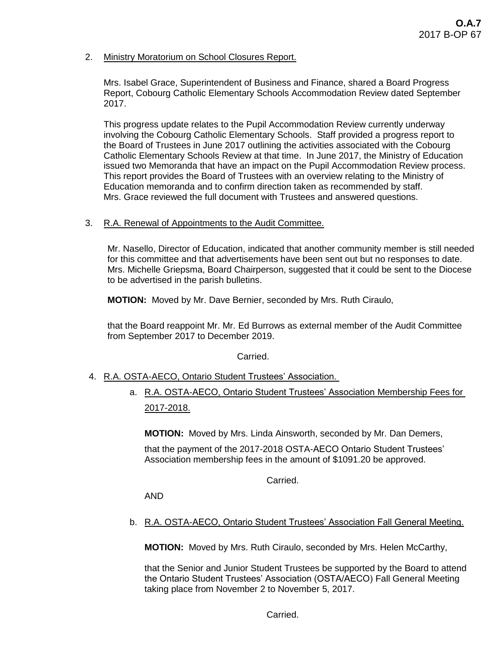2. Ministry Moratorium on School Closures Report.

Mrs. Isabel Grace, Superintendent of Business and Finance, shared a Board Progress Report, Cobourg Catholic Elementary Schools Accommodation Review dated September 2017.

This progress update relates to the Pupil Accommodation Review currently underway involving the Cobourg Catholic Elementary Schools. Staff provided a progress report to the Board of Trustees in June 2017 outlining the activities associated with the Cobourg Catholic Elementary Schools Review at that time. In June 2017, the Ministry of Education issued two Memoranda that have an impact on the Pupil Accommodation Review process. This report provides the Board of Trustees with an overview relating to the Ministry of Education memoranda and to confirm direction taken as recommended by staff. Mrs. Grace reviewed the full document with Trustees and answered questions.

3. R.A. Renewal of Appointments to the Audit Committee.

Mr. Nasello, Director of Education, indicated that another community member is still needed for this committee and that advertisements have been sent out but no responses to date. Mrs. Michelle Griepsma, Board Chairperson, suggested that it could be sent to the Diocese to be advertised in the parish bulletins.

**MOTION:** Moved by Mr. Dave Bernier, seconded by Mrs. Ruth Ciraulo,

that the Board reappoint Mr. Mr. Ed Burrows as external member of the Audit Committee from September 2017 to December 2019.

Carried.

- 4. R.A. OSTA-AECO, Ontario Student Trustees' Association.
	- a. R.A. OSTA-AECO, Ontario Student Trustees' Association Membership Fees for 2017-2018.

**MOTION:** Moved by Mrs. Linda Ainsworth, seconded by Mr. Dan Demers,

that the payment of the 2017-2018 OSTA-AECO Ontario Student Trustees' Association membership fees in the amount of \$1091.20 be approved.

Carried.

AND

b. R.A. OSTA-AECO, Ontario Student Trustees' Association Fall General Meeting.

**MOTION:** Moved by Mrs. Ruth Ciraulo, seconded by Mrs. Helen McCarthy,

that the Senior and Junior Student Trustees be supported by the Board to attend the Ontario Student Trustees' Association (OSTA/AECO) Fall General Meeting taking place from November 2 to November 5, 2017.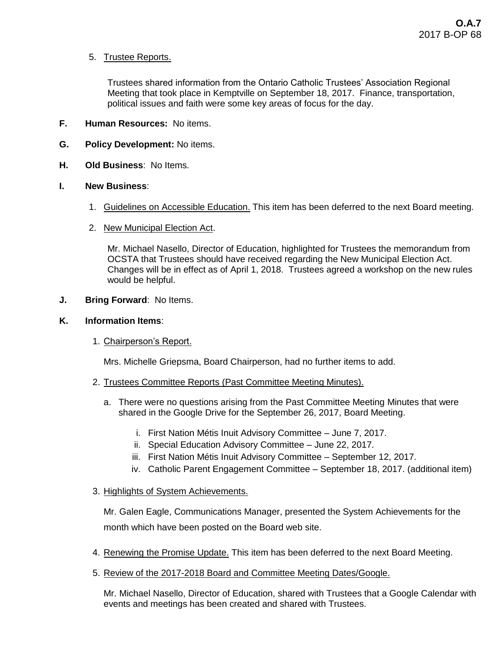# 5. Trustee Reports.

Trustees shared information from the Ontario Catholic Trustees' Association Regional Meeting that took place in Kemptville on September 18, 2017. Finance, transportation, political issues and faith were some key areas of focus for the day.

- **F. Human Resources:** No items.
- **G. Policy Development:** No items.
- **H. Old Business**: No Items.

## **I. New Business**:

- 1. Guidelines on Accessible Education. This item has been deferred to the next Board meeting.
- 2. New Municipal Election Act.

Mr. Michael Nasello, Director of Education, highlighted for Trustees the memorandum from OCSTA that Trustees should have received regarding the New Municipal Election Act. Changes will be in effect as of April 1, 2018. Trustees agreed a workshop on the new rules would be helpful.

**J. Bring Forward**: No Items.

## **K. Information Items**:

1. Chairperson's Report.

Mrs. Michelle Griepsma, Board Chairperson, had no further items to add.

- 2. Trustees Committee Reports (Past Committee Meeting Minutes).
	- a. There were no questions arising from the Past Committee Meeting Minutes that were shared in the Google Drive for the September 26, 2017, Board Meeting.
		- i. First Nation Métis Inuit Advisory Committee June 7, 2017.
		- ii. Special Education Advisory Committee June 22, 2017.
		- iii. First Nation Métis Inuit Advisory Committee September 12, 2017.
		- iv. Catholic Parent Engagement Committee September 18, 2017. (additional item)
- 3. Highlights of System Achievements.

Mr. Galen Eagle, Communications Manager, presented the System Achievements for the month which have been posted on the Board web site.

- 4. Renewing the Promise Update. This item has been deferred to the next Board Meeting.
- 5. Review of the 2017-2018 Board and Committee Meeting Dates/Google.

Mr. Michael Nasello, Director of Education, shared with Trustees that a Google Calendar with events and meetings has been created and shared with Trustees.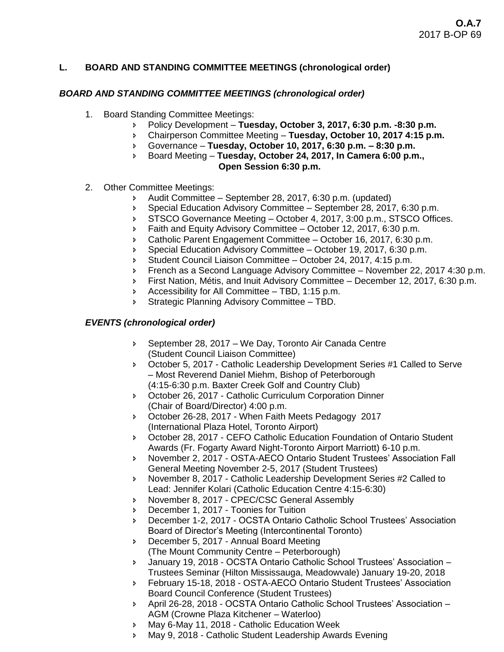## **L. BOARD AND STANDING COMMITTEE MEETINGS (chronological order)**

## *BOARD AND STANDING COMMITTEE MEETINGS (chronological order)*

- 1. Board Standing Committee Meetings:
	- Policy Development **Tuesday, October 3, 2017, 6:30 p.m. -8:30 p.m.**
	- Chairperson Committee Meeting **Tuesday, October 10, 2017 4:15 p.m.**
	- Governance **Tuesday, October 10, 2017, 6:30 p.m. – 8:30 p.m.**
	- Board Meeting **Tuesday, October 24, 2017, In Camera 6:00 p.m., Open Session 6:30 p.m.**
- 2. Other Committee Meetings:
	- Audit Committee September 28, 2017, 6:30 p.m. (updated)
	- Special Education Advisory Committee September 28, 2017, 6:30 p.m.
	- STSCO Governance Meeting October 4, 2017, 3:00 p.m., STSCO Offices.
	- **Faith and Equity Advisory Committee October 12, 2017, 6:30 p.m.**
	- Catholic Parent Engagement Committee October 16, 2017, 6:30 p.m.
	- Special Education Advisory Committee October 19, 2017, 6:30 p.m.
	- Student Council Liaison Committee October 24, 2017, 4:15 p.m.
	- French as a Second Language Advisory Committee November 22, 2017 4:30 p.m.
	- First Nation, Métis, and Inuit Advisory Committee December 12, 2017, 6:30 p.m.
	- Accessibility for All Committee TBD, 1:15 p.m.
	- Strategic Planning Advisory Committee TBD.

## *EVENTS (chronological order)*

- September 28, 2017 We Day, Toronto Air Canada Centre (Student Council Liaison Committee)
- October 5, 2017 Catholic Leadership Development Series #1 Called to Serve – Most Reverend Daniel Miehm, Bishop of Peterborough (4:15-6:30 p.m. Baxter Creek Golf and Country Club)
- October 26, 2017 Catholic Curriculum Corporation Dinner (Chair of Board/Director) 4:00 p.m.
- October 26-28, 2017 When Faith Meets Pedagogy 2017 (International Plaza Hotel, Toronto Airport)
- October 28, 2017 CEFO Catholic Education Foundation of Ontario Student Awards (Fr. Fogarty Award Night-Toronto Airport Marriott) 6-10 p.m.
- November 2, 2017 OSTA-AECO Ontario Student Trustees' Association Fall General Meeting November 2-5, 2017 (Student Trustees)
- November 8, 2017 Catholic Leadership Development Series #2 Called to Lead: Jennifer Kolari (Catholic Education Centre 4:15-6:30)
- **November 8, 2017 CPEC/CSC General Assembly**
- December 1, 2017 Toonies for Tuition
- December 1-2, 2017 OCSTA Ontario Catholic School Trustees' Association Board of Director's Meeting (Intercontinental Toronto)
- December 5, 2017 Annual Board Meeting
- (The Mount Community Centre Peterborough)
- January 19, 2018 OCSTA Ontario Catholic School Trustees' Association Trustees Seminar (Hilton Mississauga, Meadowvale) January 19-20, 2018
- February 15-18, 2018 OSTA-AECO Ontario Student Trustees' Association Board Council Conference (Student Trustees)
- April 26-28, 2018 OCSTA Ontario Catholic School Trustees' Association AGM (Crowne Plaza Kitchener – Waterloo)
- May 6-May 11, 2018 Catholic Education Week
- May 9, 2018 Catholic Student Leadership Awards Evening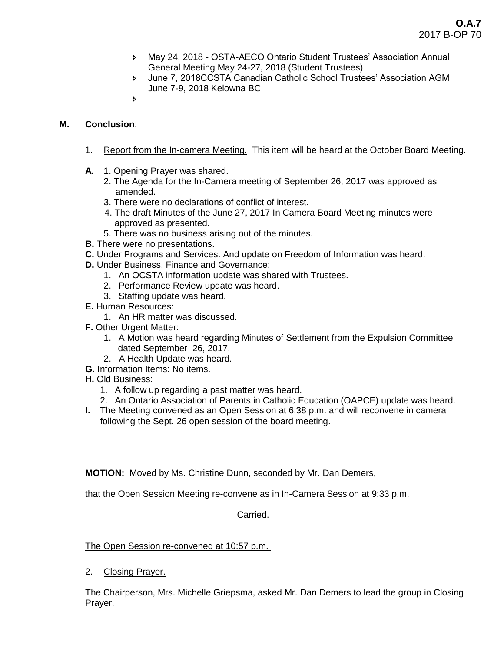- May 24, 2018 OSTA-AECO Ontario Student Trustees' Association Annual General Meeting May 24-27, 2018 (Student Trustees)
- June 7, 2018CCSTA Canadian Catholic School Trustees' Association AGM June 7-9, 2018 Kelowna BC
- $\overline{b}$

# **M. Conclusion**:

- 1. Report from the In-camera Meeting. This item will be heard at the October Board Meeting.
- **A.** 1. Opening Prayer was shared.
	- 2. The Agenda for the In-Camera meeting of September 26, 2017 was approved as amended.
	- 3. There were no declarations of conflict of interest.
	- 4. The draft Minutes of the June 27, 2017 In Camera Board Meeting minutes were approved as presented.
	- 5. There was no business arising out of the minutes.
- **B.** There were no presentations.
- **C.** Under Programs and Services. And update on Freedom of Information was heard.
- **D.** Under Business, Finance and Governance:
	- 1. An OCSTA information update was shared with Trustees.
	- 2. Performance Review update was heard.
	- 3. Staffing update was heard.
- **E.** Human Resources:
	- 1. An HR matter was discussed.
- **F.** Other Urgent Matter:
	- 1. A Motion was heard regarding Minutes of Settlement from the Expulsion Committee dated September 26, 2017.
	- 2. A Health Update was heard.
- **G.** Information Items: No items.
- **H.** Old Business:
	- 1. A follow up regarding a past matter was heard.
	- 2. An Ontario Association of Parents in Catholic Education (OAPCE) update was heard.
- **I.** The Meeting convened as an Open Session at 6:38 p.m. and will reconvene in camera following the Sept. 26 open session of the board meeting.

**MOTION:** Moved by Ms. Christine Dunn, seconded by Mr. Dan Demers,

that the Open Session Meeting re-convene as in In-Camera Session at 9:33 p.m.

## Carried.

The Open Session re-convened at 10:57 p.m.

2. Closing Prayer.

The Chairperson, Mrs. Michelle Griepsma, asked Mr. Dan Demers to lead the group in Closing Prayer.